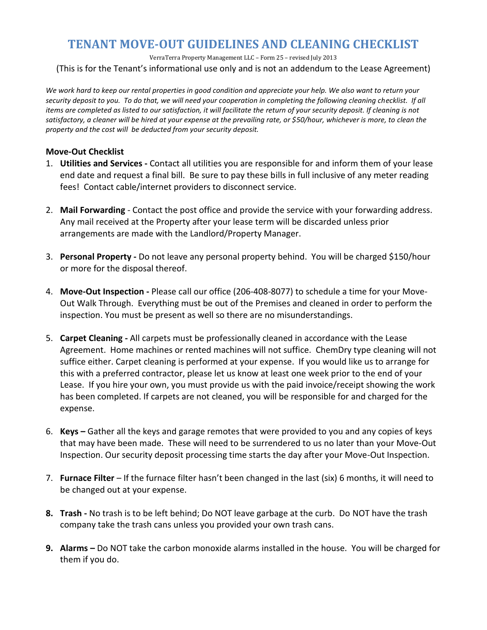# **TENANT MOVE-OUT GUIDELINES AND CLEANING CHECKLIST**

VerraTerra Property Management LLC – Form 25 – revised July 2013

(This is for the Tenant's informational use only and is not an addendum to the Lease Agreement)

We work hard to keep our rental properties in good condition and appreciate your help. We also want to return your *security deposit to you. To do that, we will need your cooperation in completing the following cleaning checklist. If all items are completed as listed to our satisfaction, it will facilitate the return of your security deposit. If cleaning is not satisfactory, a cleaner will be hired at your expense at the prevailing rate, or \$50/hour, whichever is more, to clean the property and the cost will be deducted from your security deposit.* 

#### **Move-Out Checklist**

- 1. **Utilities and Services -** Contact all utilities you are responsible for and inform them of your lease end date and request a final bill. Be sure to pay these bills in full inclusive of any meter reading fees! Contact cable/internet providers to disconnect service.
- 2. **Mail Forwarding** Contact the post office and provide the service with your forwarding address. Any mail received at the Property after your lease term will be discarded unless prior arrangements are made with the Landlord/Property Manager.
- 3. **Personal Property -** Do not leave any personal property behind. You will be charged \$150/hour or more for the disposal thereof.
- 4. **Move-Out Inspection -** Please call our office (206-408-8077) to schedule a time for your Move-Out Walk Through. Everything must be out of the Premises and cleaned in order to perform the inspection. You must be present as well so there are no misunderstandings.
- 5. **Carpet Cleaning -** All carpets must be professionally cleaned in accordance with the Lease Agreement. Home machines or rented machines will not suffice. ChemDry type cleaning will not suffice either. Carpet cleaning is performed at your expense. If you would like us to arrange for this with a preferred contractor, please let us know at least one week prior to the end of your Lease. If you hire your own, you must provide us with the paid invoice/receipt showing the work has been completed. If carpets are not cleaned, you will be responsible for and charged for the expense.
- 6. **Keys –** Gather all the keys and garage remotes that were provided to you and any copies of keys that may have been made. These will need to be surrendered to us no later than your Move-Out Inspection. Our security deposit processing time starts the day after your Move-Out Inspection.
- 7. **Furnace Filter** If the furnace filter hasn't been changed in the last (six) 6 months, it will need to be changed out at your expense.
- **8. Trash -** No trash is to be left behind; Do NOT leave garbage at the curb. Do NOT have the trash company take the trash cans unless you provided your own trash cans.
- **9. Alarms –** Do NOT take the carbon monoxide alarms installed in the house. You will be charged for them if you do.